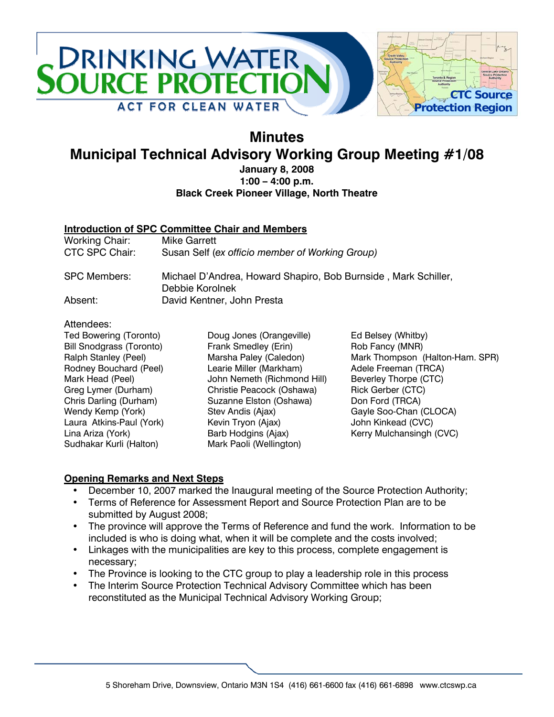

## **Minutes Municipal Technical Advisory Working Group Meeting #1/08**

#### **January 8, 2008 1:00 – 4:00 p.m. Black Creek Pioneer Village, North Theatre**

#### **Introduction of SPC Committee Chair and Members**

| Working Chair:      | Mike Garrett                                                                      |
|---------------------|-----------------------------------------------------------------------------------|
| CTC SPC Chair:      | Susan Self (ex officio member of Working Group)                                   |
| <b>SPC Members:</b> | Michael D'Andrea, Howard Shapiro, Bob Burnside, Mark Schiller,<br>Debbie Korolnek |
| Absent:             | David Kentner, John Presta                                                        |

#### Attendees:

Ted Bowering (Toronto) Bill Snodgrass (Toronto) Ralph Stanley (Peel) Rodney Bouchard (Peel) Mark Head (Peel) Greg Lymer (Durham) Chris Darling (Durham) Wendy Kemp (York) Laura Atkins-Paul (York) Lina Ariza (York) Sudhakar Kurli (Halton)

Doug Jones (Orangeville) Frank Smedley (Erin) Marsha Paley (Caledon) Learie Miller (Markham) John Nemeth (Richmond Hill) Christie Peacock (Oshawa) Suzanne Elston (Oshawa) Stev Andis (Ajax) Kevin Tryon (Ajax) Barb Hodgins (Ajax) Mark Paoli (Wellington)

Ed Belsey (Whitby) Rob Fancy (MNR) Mark Thompson (Halton-Ham. SPR) Adele Freeman (TRCA) Beverley Thorpe (CTC) Rick Gerber (CTC) Don Ford (TRCA) Gayle Soo-Chan (CLOCA) John Kinkead (CVC) Kerry Mulchansingh (CVC)

#### **Opening Remarks and Next Steps**

- December 10, 2007 marked the Inaugural meeting of the Source Protection Authority;
- Terms of Reference for Assessment Report and Source Protection Plan are to be submitted by August 2008;
- The province will approve the Terms of Reference and fund the work. Information to be included is who is doing what, when it will be complete and the costs involved;
- Linkages with the municipalities are key to this process, complete engagement is necessary;
- The Province is looking to the CTC group to play a leadership role in this process
- The Interim Source Protection Technical Advisory Committee which has been reconstituted as the Municipal Technical Advisory Working Group;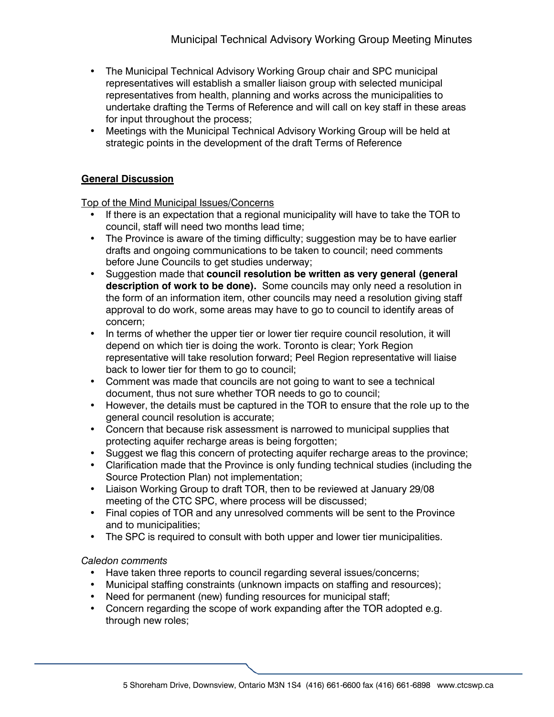- The Municipal Technical Advisory Working Group chair and SPC municipal representatives will establish a smaller liaison group with selected municipal representatives from health, planning and works across the municipalities to undertake drafting the Terms of Reference and will call on key staff in these areas for input throughout the process;
- Meetings with the Municipal Technical Advisory Working Group will be held at strategic points in the development of the draft Terms of Reference

#### **General Discussion**

Top of the Mind Municipal Issues/Concerns

- If there is an expectation that a regional municipality will have to take the TOR to council, staff will need two months lead time;
- The Province is aware of the timing difficulty; suggestion may be to have earlier drafts and ongoing communications to be taken to council; need comments before June Councils to get studies underway;
- Suggestion made that **council resolution be written as very general (general description of work to be done).** Some councils may only need a resolution in the form of an information item, other councils may need a resolution giving staff approval to do work, some areas may have to go to council to identify areas of concern;
- In terms of whether the upper tier or lower tier require council resolution, it will depend on which tier is doing the work. Toronto is clear; York Region representative will take resolution forward; Peel Region representative will liaise back to lower tier for them to go to council;
- Comment was made that councils are not going to want to see a technical document, thus not sure whether TOR needs to go to council;
- However, the details must be captured in the TOR to ensure that the role up to the general council resolution is accurate;
- Concern that because risk assessment is narrowed to municipal supplies that protecting aquifer recharge areas is being forgotten;
- Suggest we flag this concern of protecting aquifer recharge areas to the province;
- Clarification made that the Province is only funding technical studies (including the Source Protection Plan) not implementation;
- Liaison Working Group to draft TOR, then to be reviewed at January 29/08 meeting of the CTC SPC, where process will be discussed;
- Final copies of TOR and any unresolved comments will be sent to the Province and to municipalities;
- The SPC is required to consult with both upper and lower tier municipalities.

#### *Caledon comments*

- Have taken three reports to council regarding several issues/concerns;
- Municipal staffing constraints (unknown impacts on staffing and resources);
- Need for permanent (new) funding resources for municipal staff;
- Concern regarding the scope of work expanding after the TOR adopted e.g. through new roles;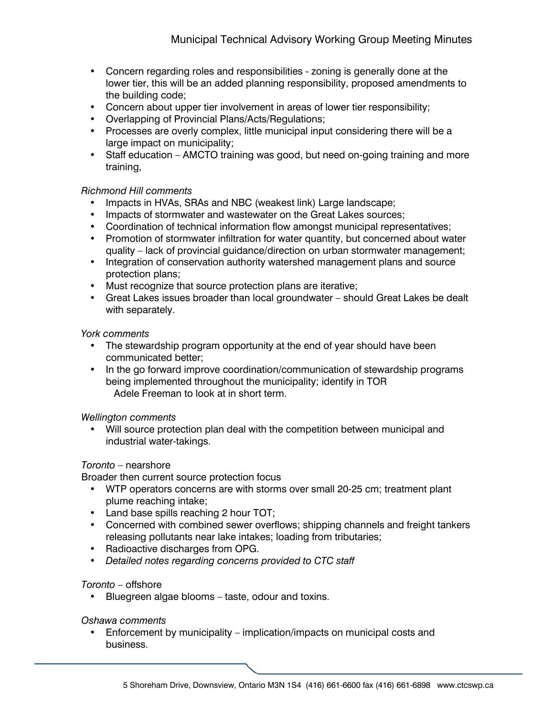- Concern regarding roles and responsibilities zoning is generally done at the lower tier, this will be an added planning responsibility, proposed amendments to the building code;
- Concern about upper tier involvement in areas of lower tier responsibility;
- Overlapping of Provincial Plans/Acts/Regulations;
- Processes are overly complex, little municipal input considering there will be a large impact on municipality;
- Staff education AMCTO training was good, but need on-going training and more training,

#### *Richmond Hill comments*

- Impacts in HVAs, SRAs and NBC (weakest link) Large landscape;
- Impacts of stormwater and wastewater on the Great Lakes sources;
- Coordination of technical information flow amongst municipal representatives;
- Promotion of stormwater infiltration for water quantity, but concerned about water quality – lack of provincial guidance/direction on urban stormwater management;
- Integration of conservation authority watershed management plans and source protection plans;
- Must recognize that source protection plans are iterative;
- Great Lakes issues broader than local groundwater should Great Lakes be dealt with separately.

#### *York comments*

- The stewardship program opportunity at the end of year should have been communicated better;
- In the go forward improve coordination/communication of stewardship programs being implemented throughout the municipality; identify in TOR Adele Freeman to look at in short term.

#### *Wellington comments*

• Will source protection plan deal with the competition between municipal and industrial water-takings.

#### *Toronto* – nearshore

Broader then current source protection focus

- WTP operators concerns are with storms over small 20-25 cm; treatment plant plume reaching intake;
- Land base spills reaching 2 hour TOT;
- Concerned with combined sewer overflows; shipping channels and freight tankers releasing pollutants near lake intakes; loading from tributaries;
- Radioactive discharges from OPG.
- *Detailed notes regarding concerns provided to CTC staff*

#### *Toronto* – offshore

Bluegreen algae blooms - taste, odour and toxins.

#### *Oshawa comments*

• Enforcement by municipality – implication/impacts on municipal costs and business.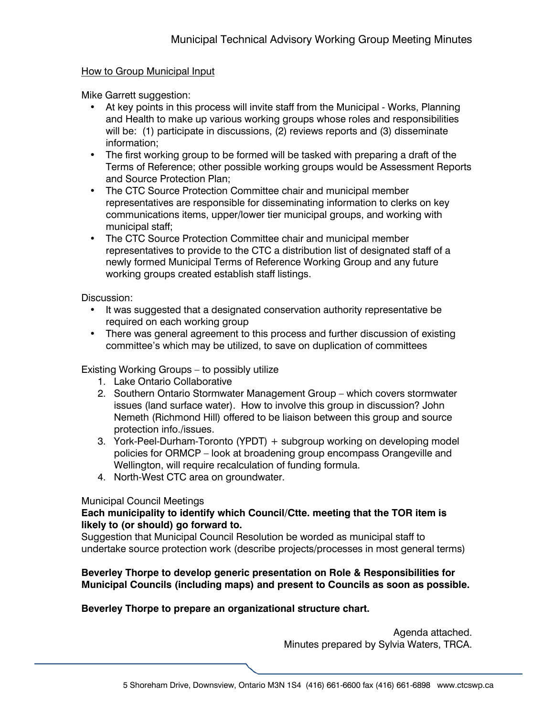#### How to Group Municipal Input

Mike Garrett suggestion:

- At key points in this process will invite staff from the Municipal Works, Planning and Health to make up various working groups whose roles and responsibilities will be: (1) participate in discussions, (2) reviews reports and (3) disseminate information;
- The first working group to be formed will be tasked with preparing a draft of the Terms of Reference; other possible working groups would be Assessment Reports and Source Protection Plan;
- The CTC Source Protection Committee chair and municipal member representatives are responsible for disseminating information to clerks on key communications items, upper/lower tier municipal groups, and working with municipal staff;
- The CTC Source Protection Committee chair and municipal member representatives to provide to the CTC a distribution list of designated staff of a newly formed Municipal Terms of Reference Working Group and any future working groups created establish staff listings.

Discussion:

- It was suggested that a designated conservation authority representative be required on each working group
- There was general agreement to this process and further discussion of existing committee's which may be utilized, to save on duplication of committees

Existing Working Groups – to possibly utilize

- 1. Lake Ontario Collaborative
- 2. Southern Ontario Stormwater Management Group which covers stormwater issues (land surface water). How to involve this group in discussion? John Nemeth (Richmond Hill) offered to be liaison between this group and source protection info./issues.
- 3. York-Peel-Durham-Toronto (YPDT) + subgroup working on developing model policies for ORMCP – look at broadening group encompass Orangeville and Wellington, will require recalculation of funding formula.
- 4. North-West CTC area on groundwater.

#### Municipal Council Meetings

#### **Each municipality to identify which Council/Ctte. meeting that the TOR item is likely to (or should) go forward to.**

Suggestion that Municipal Council Resolution be worded as municipal staff to undertake source protection work (describe projects/processes in most general terms)

#### **Beverley Thorpe to develop generic presentation on Role & Responsibilities for Municipal Councils (including maps) and present to Councils as soon as possible.**

#### **Beverley Thorpe to prepare an organizational structure chart.**

Agenda attached. Minutes prepared by Sylvia Waters, TRCA.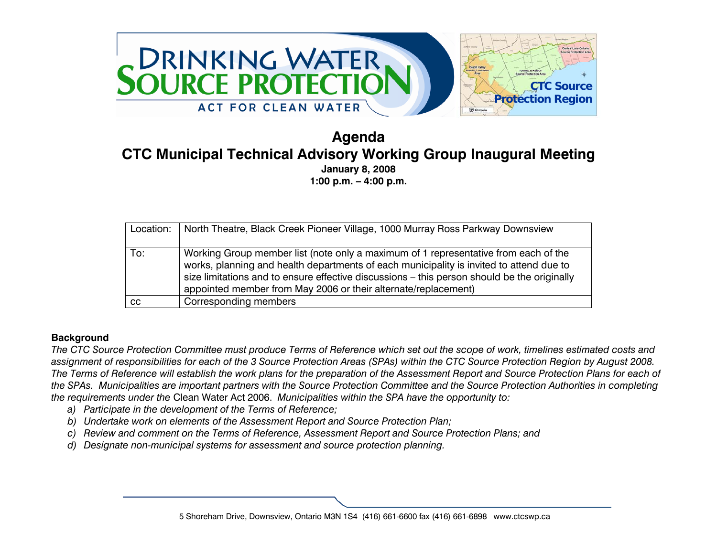

### **Agenda CTC Municipal Technical Advisory Working Group Inaugural Meeting January 8, 2008 1:00 p.m. – 4:00 p.m.**

| Location: | North Theatre, Black Creek Pioneer Village, 1000 Murray Ross Parkway Downsview                                                                                                                                                                                                                                                                  |
|-----------|-------------------------------------------------------------------------------------------------------------------------------------------------------------------------------------------------------------------------------------------------------------------------------------------------------------------------------------------------|
| To:       | Working Group member list (note only a maximum of 1 representative from each of the<br>works, planning and health departments of each municipality is invited to attend due to<br>size limitations and to ensure effective discussions - this person should be the originally<br>appointed member from May 2006 or their alternate/replacement) |
| CC.       | Corresponding members                                                                                                                                                                                                                                                                                                                           |

#### **Background**

*The CTC Source Protection Committee must produce Terms of Reference which set out the scope of work, timelines estimated costs and assignment of responsibilities for each of the 3 Source Protection Areas (SPAs) within the CTC Source Protection Region by August 2008. The Terms of Reference will establish the work plans for the preparation of the Assessment Report and Source Protection Plans for each of the SPAs. Municipalities are important partners with the Source Protection Committee and the Source Protection Authorities in completing the requirements under the* Clean Water Act 2006. *Municipalities within the SPA have the opportunity to:* 

- *a) Participate in the development of the Terms of Reference;*
- *b) Undertake work on elements of the Assessment Report and Source Protection Plan;*
- *c) Review and comment on the Terms of Reference, Assessment Report and Source Protection Plans; and*
- *d) Designate non-municipal systems for assessment and source protection planning.*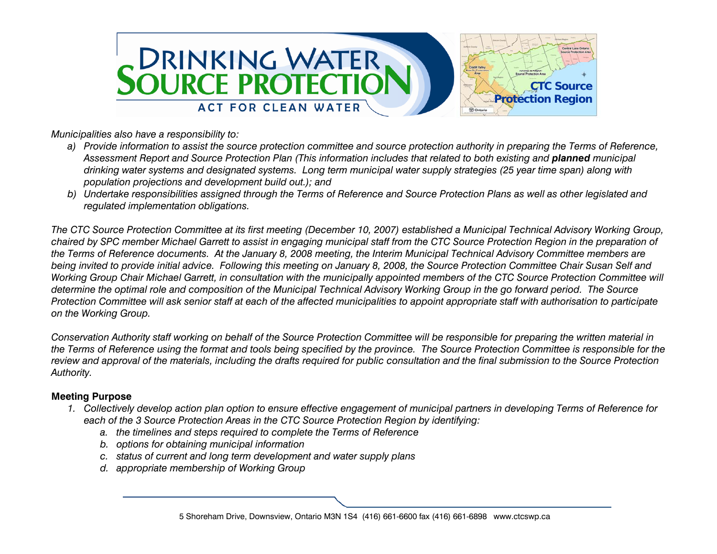

*Municipalities also have a responsibility to:* 

- *a) Provide information to assist the source protection committee and source protection authority in preparing the Terms of Reference,*  Assessment Report and Source Protection Plan (This information includes that related to both existing and **planned** municipal *drinking water systems and designated systems. Long term municipal water supply strategies (25 year time span) along with population projections and development build out.); and*
- *b) Undertake responsibilities assigned through the Terms of Reference and Source Protection Plans as well as other legislated and regulated implementation obligations.*

*The CTC Source Protection Committee at its first meeting (December 10, 2007) established a Municipal Technical Advisory Working Group, chaired by SPC member Michael Garrett to assist in engaging municipal staff from the CTC Source Protection Region in the preparation of the Terms of Reference documents. At the January 8, 2008 meeting, the Interim Municipal Technical Advisory Committee members are being invited to provide initial advice. Following this meeting on January 8, 2008, the Source Protection Committee Chair Susan Self and Working Group Chair Michael Garrett, in consultation with the municipally appointed members of the CTC Source Protection Committee will determine the optimal role and composition of the Municipal Technical Advisory Working Group in the go forward period. The Source Protection Committee will ask senior staff at each of the affected municipalities to appoint appropriate staff with authorisation to participate on the Working Group.* 

*Conservation Authority staff working on behalf of the Source Protection Committee will be responsible for preparing the written material in the Terms of Reference using the format and tools being specified by the province. The Source Protection Committee is responsible for the review and approval of the materials, including the drafts required for public consultation and the final submission to the Source Protection Authority.* 

#### **Meeting Purpose**

- *1. Collectively develop action plan option to ensure effective engagement of municipal partners in developing Terms of Reference for each of the 3 Source Protection Areas in the CTC Source Protection Region by identifying:* 
	- *a. the timelines and steps required to complete the Terms of Reference*
	- *b. options for obtaining municipal information*
	- *c. status of current and long term development and water supply plans*
	- *d. appropriate membership of Working Group*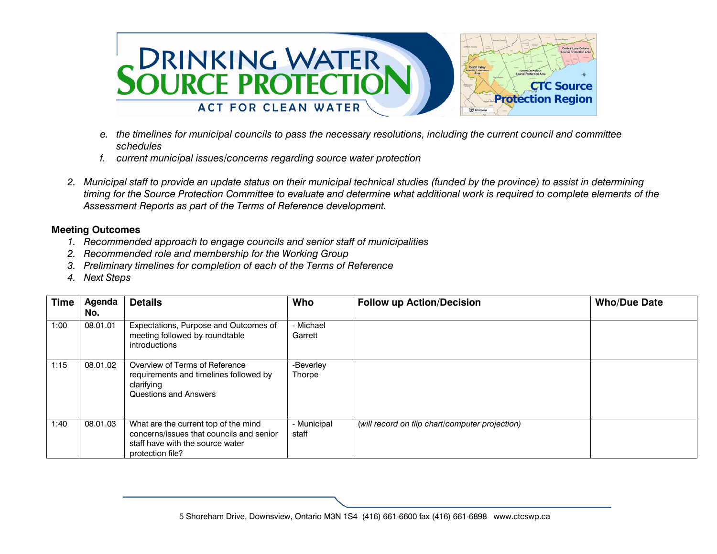

- *e. the timelines for municipal councils to pass the necessary resolutions, including the current council and committee schedules*
- *f. current municipal issues/concerns regarding source water protection*
- *2. Municipal staff to provide an update status on their municipal technical studies (funded by the province) to assist in determining timing for the Source Protection Committee to evaluate and determine what additional work is required to complete elements of the Assessment Reports as part of the Terms of Reference development.*

#### **Meeting Outcomes**

- *1. Recommended approach to engage councils and senior staff of municipalities*
- *2. Recommended role and membership for the Working Group*
- *3. Preliminary timelines for completion of each of the Terms of Reference*
- *4. Next Steps*

| <b>Time</b> | Agenda<br>No. | <b>Details</b>                                                                                                                           | Who                        | <b>Follow up Action/Decision</b>                | <b>Who/Due Date</b> |
|-------------|---------------|------------------------------------------------------------------------------------------------------------------------------------------|----------------------------|-------------------------------------------------|---------------------|
| 1:00        | 08.01.01      | Expectations, Purpose and Outcomes of<br>meeting followed by roundtable<br>introductions                                                 | - Michael<br>Garrett       |                                                 |                     |
| 1:15        | 08.01.02      | Overview of Terms of Reference<br>requirements and timelines followed by<br>clarifying<br><b>Questions and Answers</b>                   | -Beverley<br><b>Thorpe</b> |                                                 |                     |
| 1:40        | 08.01.03      | What are the current top of the mind<br>concerns/issues that councils and senior<br>staff have with the source water<br>protection file? | - Municipal<br>staff       | (will record on flip chart/computer projection) |                     |